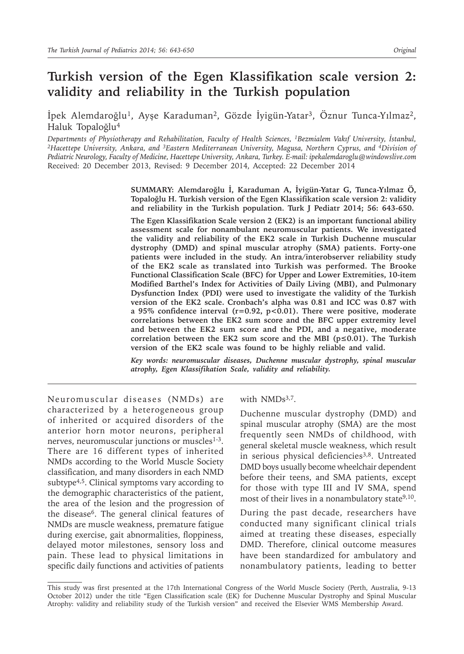# **Turkish version of the Egen Klassifikation scale version 2: validity and reliability in the Turkish population**

İpek Alemdaroğlu1, Ayşe Karaduman2, Gözde İyigün-Yatar3, Öznur Tunca-Yılmaz2, Haluk Topaloğlu<sup>4</sup>

*Departments of Physiotherapy and Rehabilitation, Faculty of Health Sciences, 1Bezmialem Vakıf University, İstanbul, 2Hacettepe University, Ankara, and 3Eastern Mediterranean University, Magusa, Northern Cyprus, and 4Division of Pediatric Neurology, Faculty of Medicine, Hacettepe University, Ankara, Turkey. E-mail: ipekalemdaroglu@windowslive.com* Received: 20 December 2013, Revised: 9 December 2014, Accepted: 22 December 2014

> **SUMMARY: Alemdaroğlu İ, Karaduman A, İyigün-Yatar G, Tunca-Yılmaz Ö, Topaloğlu H. Turkish version of the Egen Klassifikation scale version 2: validity and reliability in the Turkish population. Turk J Pediatr 2014; 56: 643-650.**

> **The Egen Klassifikation Scale version 2 (EK2) is an important functional ability assessment scale for nonambulant neuromuscular patients. We investigated the validity and reliability of the EK2 scale in Turkish Duchenne muscular dystrophy (DMD) and spinal muscular atrophy (SMA) patients. Forty-one patients were included in the study. An intra/interobserver reliability study of the EK2 scale as translated into Turkish was performed. The Brooke Functional Classification Scale (BFC) for Upper and Lower Extremities, 10-item Modified Barthel's Index for Activities of Daily Living (MBI), and Pulmonary Dysfunction Index (PDI) were used to investigate the validity of the Turkish version of the EK2 scale. Cronbach's alpha was 0.81 and ICC was 0.87 with a 95% confidence interval (r=0.92, p<0.01). There were positive, moderate correlations between the EK2 sum score and the BFC upper extremity level and between the EK2 sum score and the PDI, and a negative, moderate correlation between the EK2 sum score and the MBI (p≤0.01). The Turkish version of the EK2 scale was found to be highly reliable and valid.**

> *Key words: neuromuscular diseases, Duchenne muscular dystrophy, spinal muscular atrophy, Egen Klassifikation Scale, validity and reliability.*

Neuromuscular diseases (NMDs) are characterized by a heterogeneous group of inherited or acquired disorders of the anterior horn motor neurons, peripheral nerves, neuromuscular junctions or muscles<sup>1-3</sup>. There are 16 different types of inherited NMDs according to the World Muscle Society classification, and many disorders in each NMD subtype<sup>4,5</sup>. Clinical symptoms vary according to the demographic characteristics of the patient, the area of the lesion and the progression of the disease<sup>6</sup>. The general clinical features of NMDs are muscle weakness, premature fatigue during exercise, gait abnormalities, floppiness, delayed motor milestones, sensory loss and pain. These lead to physical limitations in specific daily functions and activities of patients

with NMDs<sup>3,7</sup>.

Duchenne muscular dystrophy (DMD) and spinal muscular atrophy (SMA) are the most frequently seen NMDs of childhood, with general skeletal muscle weakness, which result in serious physical deficiencies<sup>3,8</sup>. Untreated DMD boys usually become wheelchair dependent before their teens, and SMA patients, except for those with type III and IV SMA, spend most of their lives in a nonambulatory state<sup>9,10</sup>.

During the past decade, researchers have conducted many significant clinical trials aimed at treating these diseases, especially DMD. Therefore, clinical outcome measures have been standardized for ambulatory and nonambulatory patients, leading to better

This study was first presented at the 17th International Congress of the World Muscle Society (Perth, Australia, 9-13 October 2012) under the title "Egen Classification scale (EK) for Duchenne Muscular Dystrophy and Spinal Muscular Atrophy: validity and reliability study of the Turkish version" and received the Elsevier WMS Membership Award.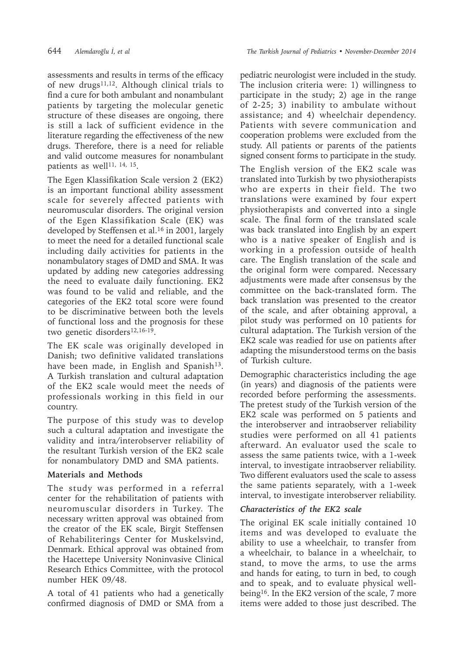assessments and results in terms of the efficacy of new drugs $11,12$ . Although clinical trials to find a cure for both ambulant and nonambulant patients by targeting the molecular genetic structure of these diseases are ongoing, there is still a lack of sufficient evidence in the literature regarding the effectiveness of the new drugs. Therefore, there is a need for reliable and valid outcome measures for nonambulant patients as well $11, 14, 15$ .

The Egen Klassifikation Scale version 2 (EK2) is an important functional ability assessment scale for severely affected patients with neuromuscular disorders. The original version of the Egen Klassifikation Scale (EK) was developed by Steffensen et al.<sup>16</sup> in 2001, largely to meet the need for a detailed functional scale including daily activities for patients in the nonambulatory stages of DMD and SMA. It was updated by adding new categories addressing the need to evaluate daily functioning. EK2 was found to be valid and reliable, and the categories of the EK2 total score were found to be discriminative between both the levels of functional loss and the prognosis for these two genetic disorders<sup>12,16-19</sup>.

The EK scale was originally developed in Danish; two definitive validated translations have been made, in English and Spanish<sup>13</sup>. A Turkish translation and cultural adaptation of the EK2 scale would meet the needs of professionals working in this field in our country.

The purpose of this study was to develop such a cultural adaptation and investigate the validity and intra/interobserver reliability of the resultant Turkish version of the EK2 scale for nonambulatory DMD and SMA patients.

# **Materials and Methods**

The study was performed in a referral center for the rehabilitation of patients with neuromuscular disorders in Turkey. The necessary written approval was obtained from the creator of the EK scale, Birgit Steffensen of Rehabiliterings Center for Muskelsvind, Denmark. Ethical approval was obtained from the Hacettepe University Noninvasive Clinical Research Ethics Committee, with the protocol number HEK 09/48.

A total of 41 patients who had a genetically confirmed diagnosis of DMD or SMA from a

pediatric neurologist were included in the study. The inclusion criteria were: 1) willingness to participate in the study; 2) age in the range of 2-25; 3) inability to ambulate without assistance; and 4) wheelchair dependency. Patients with severe communication and cooperation problems were excluded from the study. All patients or parents of the patients signed consent forms to participate in the study.

The English version of the EK2 scale was translated into Turkish by two physiotherapists who are experts in their field. The two translations were examined by four expert physiotherapists and converted into a single scale. The final form of the translated scale was back translated into English by an expert who is a native speaker of English and is working in a profession outside of health care. The English translation of the scale and the original form were compared. Necessary adjustments were made after consensus by the committee on the back-translated form. The back translation was presented to the creator of the scale, and after obtaining approval, a pilot study was performed on 10 patients for cultural adaptation. The Turkish version of the EK2 scale was readied for use on patients after adapting the misunderstood terms on the basis of Turkish culture.

Demographic characteristics including the age (in years) and diagnosis of the patients were recorded before performing the assessments. The pretest study of the Turkish version of the EK2 scale was performed on 5 patients and the interobserver and intraobserver reliability studies were performed on all 41 patients afterward. An evaluator used the scale to assess the same patients twice, with a 1-week interval, to investigate intraobserver reliability. Two different evaluators used the scale to assess the same patients separately, with a 1-week interval, to investigate interobserver reliability.

# *Characteristics of the EK2 scale*

The original EK scale initially contained 10 items and was developed to evaluate the ability to use a wheelchair, to transfer from a wheelchair, to balance in a wheelchair, to stand, to move the arms, to use the arms and hands for eating, to turn in bed, to cough and to speak, and to evaluate physical wellbeing<sup>16</sup>. In the EK2 version of the scale, 7 more items were added to those just described. The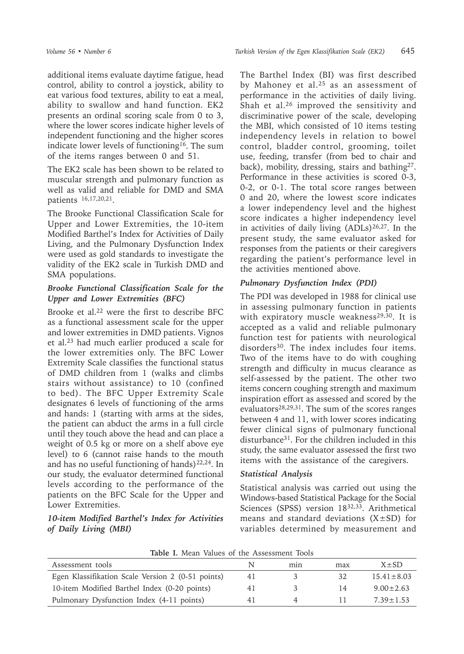additional items evaluate daytime fatigue, head control, ability to control a joystick, ability to eat various food textures, ability to eat a meal, ability to swallow and hand function. EK2 presents an ordinal scoring scale from 0 to 3, where the lower scores indicate higher levels of independent functioning and the higher scores indicate lower levels of functioning<sup>16</sup>. The sum of the items ranges between 0 and 51.

The EK2 scale has been shown to be related to muscular strength and pulmonary function as well as valid and reliable for DMD and SMA patients 16,17,20,21.

The Brooke Functional Classification Scale for Upper and Lower Extremities, the 10-item Modified Barthel's Index for Activities of Daily Living, and the Pulmonary Dysfunction Index were used as gold standards to investigate the validity of the EK2 scale in Turkish DMD and SMA populations.

## *Brooke Functional Classification Scale for the Upper and Lower Extremities (BFC)*

Brooke et al.22 were the first to describe BFC as a functional assessment scale for the upper and lower extremities in DMD patients. Vignos et al.<sup>23</sup> had much earlier produced a scale for the lower extremities only. The BFC Lower Extremity Scale classifies the functional status of DMD children from 1 (walks and climbs stairs without assistance) to 10 (confined to bed). The BFC Upper Extremity Scale designates 6 levels of functioning of the arms and hands: 1 (starting with arms at the sides, the patient can abduct the arms in a full circle until they touch above the head and can place a weight of 0.5 kg or more on a shelf above eye level) to 6 (cannot raise hands to the mouth and has no useful functioning of hands) $22,24$ . In our study, the evaluator determined functional levels according to the performance of the patients on the BFC Scale for the Upper and Lower Extremities.

## *10-item Modified Barthel's Index for Activities of Daily Living (MBI)*

The Barthel Index (BI) was first described by Mahoney et al.25 as an assessment of performance in the activities of daily living. Shah et al.<sup>26</sup> improved the sensitivity and discriminative power of the scale, developing the MBI, which consisted of 10 items testing independency levels in relation to bowel control, bladder control, grooming, toilet use, feeding, transfer (from bed to chair and back), mobility, dressing, stairs and bathing27. Performance in these activities is scored 0-3, 0-2, or 0-1. The total score ranges between 0 and 20, where the lowest score indicates a lower independency level and the highest score indicates a higher independency level in activities of daily living  $(ADLs)^{26,27}$ . In the present study, the same evaluator asked for responses from the patients or their caregivers regarding the patient's performance level in the activities mentioned above.

# *Pulmonary Dysfunction Index (PDI)*

The PDI was developed in 1988 for clinical use in assessing pulmonary function in patients with expiratory muscle weakness<sup>29,30</sup>. It is accepted as a valid and reliable pulmonary function test for patients with neurological disorders<sup>30</sup>. The index includes four items. Two of the items have to do with coughing strength and difficulty in mucus clearance as self-assessed by the patient. The other two items concern coughing strength and maximum inspiration effort as assessed and scored by the evaluators28,29,31. The sum of the scores ranges between 4 and 11, with lower scores indicating fewer clinical signs of pulmonary functional disturbance<sup>31</sup>. For the children included in this study, the same evaluator assessed the first two items with the assistance of the caregivers.

## *Statistical Analysis*

Statistical analysis was carried out using the Windows-based Statistical Package for the Social Sciences (SPSS) version 1832,33. Arithmetical means and standard deviations  $(X \pm SD)$  for variables determined by measurement and

| Assessment tools                                  |     | mın | max | $X + SD$       |
|---------------------------------------------------|-----|-----|-----|----------------|
| Egen Klassifikation Scale Version 2 (0-51 points) | 4 I |     | 32  | $15.41 + 8.03$ |
| 10-item Modified Barthel Index (0-20 points)      | 41  |     | 14  | $9.00 + 2.63$  |
| Pulmonary Dysfunction Index (4-11 points)         | 4∣  |     |     | $7.39 + 1.53$  |

**Table I.** Mean Values of the Assessment Tools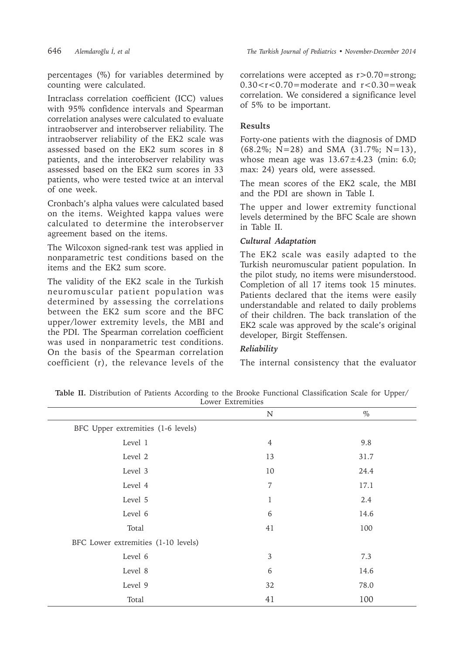percentages (%) for variables determined by counting were calculated.

Intraclass correlation coefficient (ICC) values with 95% confidence intervals and Spearman correlation analyses were calculated to evaluate intraobserver and interobserver reliability. The intraobserver reliability of the EK2 scale was assessed based on the EK2 sum scores in 8 patients, and the interobserver relability was assessed based on the EK2 sum scores in 33 patients, who were tested twice at an interval of one week.

Cronbach's alpha values were calculated based on the items. Weighted kappa values were calculated to determine the interobserver agreement based on the items.

The Wilcoxon signed-rank test was applied in nonparametric test conditions based on the items and the EK2 sum score.

The validity of the EK2 scale in the Turkish neuromuscular patient population was determined by assessing the correlations between the EK2 sum score and the BFC upper/lower extremity levels, the MBI and the PDI. The Spearman correlation coefficient was used in nonparametric test conditions. On the basis of the Spearman correlation coefficient (r), the relevance levels of the

correlations were accepted as r>0.70=strong;  $0.30 < r < 0.70$  = moderate and  $r < 0.30$  = weak correlation. We considered a significance level of 5% to be important.

#### **Results**

Forty-one patients with the diagnosis of DMD  $(68.2\%; \overline{N} = 28)$  and SMA  $(31.7\%; \overline{N} = 13)$ , whose mean age was  $13.67 \pm 4.23$  (min: 6.0; max: 24) years old, were assessed.

The mean scores of the EK2 scale, the MBI and the PDI are shown in Table I.

The upper and lower extremity functional levels determined by the BFC Scale are shown in Table II.

#### *Cultural Adaptation*

The EK2 scale was easily adapted to the Turkish neuromuscular patient population. In the pilot study, no items were misunderstood. Completion of all 17 items took 15 minutes. Patients declared that the items were easily understandable and related to daily problems of their children. The back translation of the EK2 scale was approved by the scale's original developer, Birgit Steffensen.

#### *Reliability*

The internal consistency that the evaluator

N  $\%$ BFC Upper extremities (1-6 levels) Level 1  $\qquad \qquad 4$  9.8 Level 2  $13$   $31.7$ Level 3 24.4 Level 4 17.1 Level  $5$  2.4 Level 6  $14.6$ Total  $41$   $100$ BFC Lower extremities (1-10 levels) Level  $6 \hspace{3.5cm} 3 \hspace{3.5cm} 7.3$ Level 8  $\qquad \qquad 6 \qquad \qquad 14.6$ Level 9 32 78.0 Total  $41$   $100$ 

**Table II.** Distribution of Patients According to the Brooke Functional Classification Scale for Upper/ Lower Extremities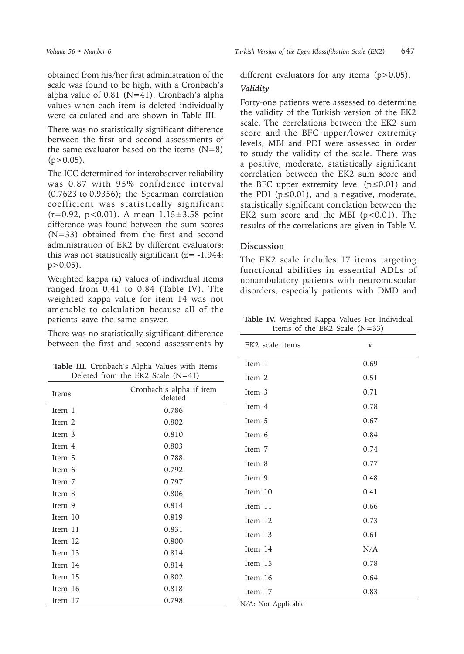obtained from his/her first administration of the scale was found to be high, with a Cronbach's alpha value of  $0.81$  (N=41). Cronbach's alpha values when each item is deleted individually were calculated and are shown in Table III.

There was no statistically significant difference between the first and second assessments of the same evaluator based on the items  $(N=8)$  $(p>0.05)$ .

The ICC determined for interobserver reliability was 0.87 with 95% confidence interval (0.7623 to 0.9356); the Spearman correlation coefficient was statistically significant  $(r=0.92, p<0.01)$ . A mean  $1.15\pm3.58$  point difference was found between the sum scores (N=33) obtained from the first and second administration of EK2 by different evaluators; this was not statistically significant  $(z = -1.944;$  $p > 0.05$ ).

Weighted kappa (ĸ) values of individual items ranged from 0.41 to 0.84 (Table IV). The weighted kappa value for item 14 was not amenable to calculation because all of the patients gave the same answer.

There was no statistically significant difference between the first and second assessments by

**Table III.** Cronbach's Alpha Values with Items Deleted from the EK2 Scale (N=41)

| Items   | Cronbach's alpha if item<br>deleted |
|---------|-------------------------------------|
| Item 1  | 0.786                               |
| Item 2  | 0.802                               |
| Item 3  | 0.810                               |
| Item 4  | 0.803                               |
| Item 5  | 0.788                               |
| Item 6  | 0.792                               |
| Item 7  | 0.797                               |
| Item 8  | 0.806                               |
| Item 9  | 0.814                               |
| Item 10 | 0.819                               |
| Item 11 | 0.831                               |
| Item 12 | 0.800                               |
| Item 13 | 0.814                               |
| Item 14 | 0.814                               |
| Item 15 | 0.802                               |
| Item 16 | 0.818                               |
| Item 17 | 0.798                               |

different evaluators for any items (p>0.05).

#### *Validity*

Forty-one patients were assessed to determine the validity of the Turkish version of the EK2 scale. The correlations between the EK2 sum score and the BFC upper/lower extremity levels, MBI and PDI were assessed in order to study the validity of the scale. There was a positive, moderate, statistically significant correlation between the EK2 sum score and the BFC upper extremity level (p≤0.01) and the PDI ( $p \le 0.01$ ), and a negative, moderate, statistically significant correlation between the EK2 sum score and the MBI  $(p<0.01)$ . The results of the correlations are given in Table V.

## **Discussion**

The EK2 scale includes 17 items targeting functional abilities in essential ADLs of nonambulatory patients with neuromuscular disorders, especially patients with DMD and

**Table IV.** Weighted Kappa Values For Individual Items of the EK2 Scale  $(N=33)$ 

| EK2 scale items                              | $\bf K$ |
|----------------------------------------------|---------|
| Item 1                                       | 0.69    |
| Item 2                                       | 0.51    |
| Item 3                                       | 0.71    |
| Item 4                                       | 0.78    |
| Item 5                                       | 0.67    |
| Item 6                                       | 0.84    |
| Item 7                                       | 0.74    |
| Item 8                                       | 0.77    |
| Item 9                                       | 0.48    |
| Item 10                                      | 0.41    |
| Item 11                                      | 0.66    |
| Item 12                                      | 0.73    |
| Item 13                                      | 0.61    |
| Item 14                                      | N/A     |
| Item 15                                      | 0.78    |
| Item 16                                      | 0.64    |
| Item 17<br>$T/A$ $\rightarrow T$<br>$\cdots$ | 0.83    |

N/A: Not Applicable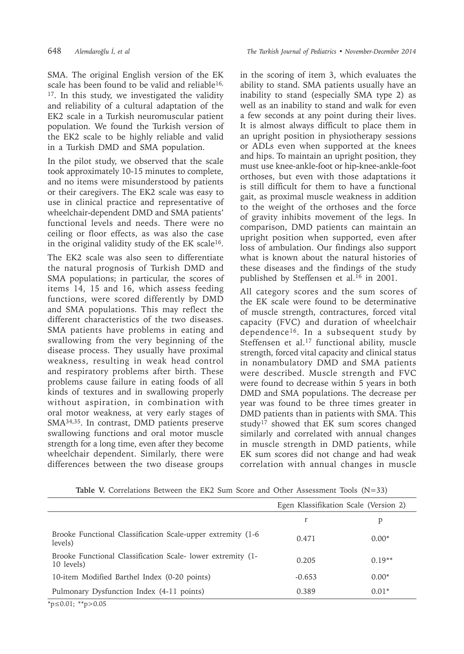648 *Alemdaroğlu İ, et al The Turkish Journal of Pediatrics • November-December 2014*

SMA. The original English version of the EK scale has been found to be valid and reliable<sup>16,</sup>  $17$ . In this study, we investigated the validity and reliability of a cultural adaptation of the EK2 scale in a Turkish neuromuscular patient population. We found the Turkish version of the EK2 scale to be highly reliable and valid in a Turkish DMD and SMA population.

In the pilot study, we observed that the scale took approximately 10-15 minutes to complete, and no items were misunderstood by patients or their caregivers. The EK2 scale was easy to use in clinical practice and representative of wheelchair-dependent DMD and SMA patients' functional levels and needs. There were no ceiling or floor effects, as was also the case in the original validity study of the EK scale<sup>16</sup>.

The EK2 scale was also seen to differentiate the natural prognosis of Turkish DMD and SMA populations; in particular, the scores of items 14, 15 and 16, which assess feeding functions, were scored differently by DMD and SMA populations. This may reflect the different characteristics of the two diseases. SMA patients have problems in eating and swallowing from the very beginning of the disease process. They usually have proximal weakness, resulting in weak head control and respiratory problems after birth. These problems cause failure in eating foods of all kinds of textures and in swallowing properly without aspiration, in combination with oral motor weakness, at very early stages of SMA34,35. In contrast, DMD patients preserve swallowing functions and oral motor muscle strength for a long time, even after they become wheelchair dependent. Similarly, there were differences between the two disease groups

in the scoring of item 3, which evaluates the ability to stand. SMA patients usually have an inability to stand (especially SMA type 2) as well as an inability to stand and walk for even a few seconds at any point during their lives. It is almost always difficult to place them in an upright position in physiotherapy sessions or ADLs even when supported at the knees and hips. To maintain an upright position, they must use knee-ankle-foot or hip-knee-ankle-foot orthoses, but even with those adaptations it is still difficult for them to have a functional gait, as proximal muscle weakness in addition to the weight of the orthoses and the force of gravity inhibits movement of the legs. In comparison, DMD patients can maintain an upright position when supported, even after loss of ambulation. Our findings also support what is known about the natural histories of these diseases and the findings of the study published by Steffensen et al.<sup>16</sup> in 2001.

All category scores and the sum scores of the EK scale were found to be determinative of muscle strength, contractures, forced vital capacity (FVC) and duration of wheelchair dependence16. In a subsequent study by Steffensen et al.<sup>17</sup> functional ability, muscle strength, forced vital capacity and clinical status in nonambulatory DMD and SMA patients were described. Muscle strength and FVC were found to decrease within 5 years in both DMD and SMA populations. The decrease per year was found to be three times greater in DMD patients than in patients with SMA. This study<sup>17</sup> showed that EK sum scores changed similarly and correlated with annual changes in muscle strength in DMD patients, while EK sum scores did not change and had weak correlation with annual changes in muscle

|  |  | Table V. Correlations Between the EK2 Sum Score and Other Assessment Tools $(N=33)$ |  |  |  |  |  |  |  |  |  |  |  |
|--|--|-------------------------------------------------------------------------------------|--|--|--|--|--|--|--|--|--|--|--|
|--|--|-------------------------------------------------------------------------------------|--|--|--|--|--|--|--|--|--|--|--|

|                                                                           | Egen Klassifikation Scale (Version 2) |          |  |  |
|---------------------------------------------------------------------------|---------------------------------------|----------|--|--|
|                                                                           | r                                     | р        |  |  |
| Brooke Functional Classification Scale-upper extremity (1-6<br>levels)    | 0.471                                 | $0.00*$  |  |  |
| Brooke Functional Classification Scale- lower extremity (1-<br>10 levels) | 0.205                                 | $0.19**$ |  |  |
| 10-item Modified Barthel Index (0-20 points)                              | $-0.653$                              | $0.00*$  |  |  |
| Pulmonary Dysfunction Index (4-11 points)                                 | 0.389                                 | $0.01*$  |  |  |

\*p≤0.01; \*\*p>0.05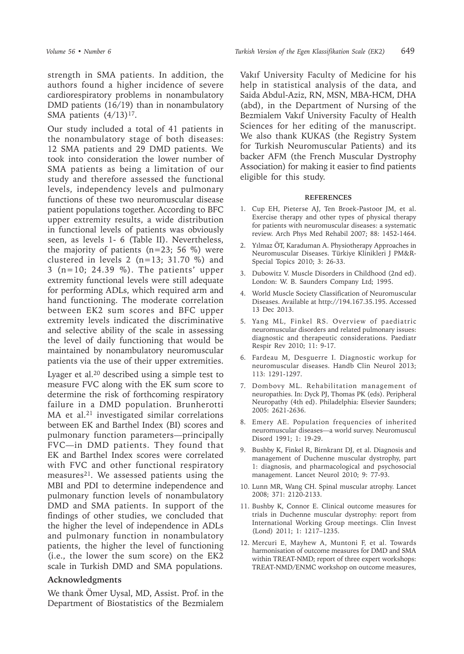Our study included a total of 41 patients in the nonambulatory stage of both diseases: 12 SMA patients and 29 DMD patients. We took into consideration the lower number of SMA patients as being a limitation of our study and therefore assessed the functional levels, independency levels and pulmonary functions of these two neuromuscular disease patient populations together. According to BFC upper extremity results, a wide distribution in functional levels of patients was obviously seen, as levels 1- 6 (Table II). Nevertheless, the majority of patients  $(n=23; 56 \%)$  were clustered in levels 2 ( $n=13$ ; 31.70 %) and 3 (n=10; 24.39 %). The patients' upper extremity functional levels were still adequate for performing ADLs, which required arm and hand functioning. The moderate correlation between EK2 sum scores and BFC upper extremity levels indicated the discriminative and selective ability of the scale in assessing the level of daily functioning that would be maintained by nonambulatory neuromuscular patients via the use of their upper extremities.

Lyager et al.20 described using a simple test to measure FVC along with the EK sum score to determine the risk of forthcoming respiratory failure in a DMD population. Brunherotti MA et al.<sup>21</sup> investigated similar correlations between EK and Barthel Index (BI) scores and pulmonary function parameters—principally FVC—in DMD patients. They found that EK and Barthel Index scores were correlated with FVC and other functional respiratory measures<sup>21</sup>. We assessed patients using the MBI and PDI to determine independence and pulmonary function levels of nonambulatory DMD and SMA patients. In support of the findings of other studies, we concluded that the higher the level of independence in ADLs and pulmonary function in nonambulatory patients, the higher the level of functioning (i.e., the lower the sum score) on the EK2 scale in Turkish DMD and SMA populations.

# **Acknowledgments**

We thank Ömer Uysal, MD, Assist. Prof. in the Department of Biostatistics of the Bezmialem

Vakıf University Faculty of Medicine for his help in statistical analysis of the data, and Saida Abdul-Aziz, RN, MSN, MBA-HCM, DHA (abd), in the Department of Nursing of the Bezmialem Vakıf University Faculty of Health Sciences for her editing of the manuscript. We also thank KUKAS (the Registry System for Turkish Neuromuscular Patients) and its backer AFM (the French Muscular Dystrophy Association) for making it easier to find patients eligible for this study.

#### **REFERENCES**

- 1. Cup EH, Pieterse AJ, Ten Broek-Pastoor JM, et al. Exercise therapy and other types of physical therapy for patients with neuromuscular diseases: a systematic review. Arch Phys Med Rehabil 2007; 88: 1452-1464.
- 2. Yılmaz ÖT, Karaduman A. Physiotherapy Approaches in Neuromuscular Diseases. Türkiye Klinikleri J PM&R-Special Topics 2010; 3: 26-33.
- 3. Dubowitz V. Muscle Disorders in Childhood (2nd ed). London: W. B. Saunders Company Ltd; 1995.
- 4. World Muscle Society Classification of Neuromuscular Diseases. Available at http://194.167.35.195. Accessed 13 Dec 2013.
- 5. Yang ML, Finkel RS. Overview of paediatric neuromuscular disorders and related pulmonary issues: diagnostic and therapeutic considerations. Paediatr Respir Rev 2010; 11: 9-17.
- 6. Fardeau M, Desguerre I. Diagnostic workup for neuromuscular diseases. Handb Clin Neurol 2013; 113: 1291-1297.
- 7. Dombovy ML. Rehabilitation management of neuropathies. In: Dyck PJ, Thomas PK (eds). Peripheral Neuropathy (4th ed). Philadelphia: Elsevier Saunders; 2005: 2621-2636.
- 8. Emery AE. Population frequencies of inherited neuromuscular diseases—a world survey. Neuromuscul Disord 1991; 1: 19-29.
- 9. Bushby K, Finkel R, Birnkrant DJ, et al. Diagnosis and management of Duchenne muscular dystrophy, part 1: diagnosis, and pharmacological and psychosocial management. Lancet Neurol 2010; 9: 77-93.
- 10. Lunn MR, Wang CH. Spinal muscular atrophy. Lancet 2008; 371: 2120-2133.
- 11. Bushby K, Connor E. Clinical outcome measures for trials in Duchenne muscular dystrophy: report from International Working Group meetings. Clin Invest (Lond) 2011; 1: 1217–1235.
- 12. Mercuri E, Mayhew A, Muntoni F, et al. Towards harmonisation of outcome measures for DMD and SMA within TREAT-NMD; report of three expert workshops: TREAT-NMD/ENMC workshop on outcome measures,